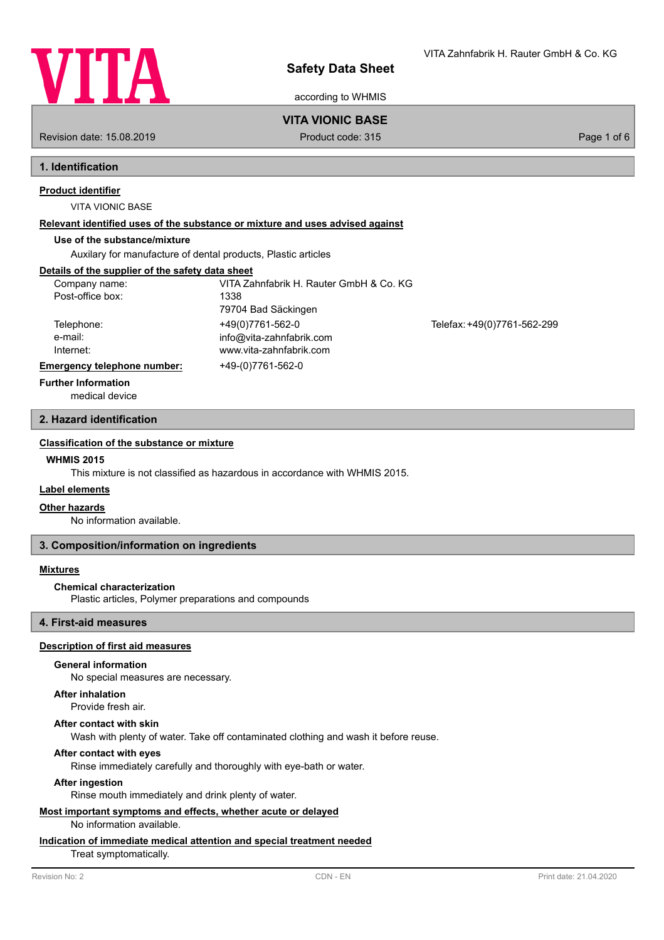

according to WHMIS

## **VITA VIONIC BASE**

Revision date: 15.08.2019 **Product code: 315** Product code: 315 **Page 1 of 6** Page 1 of 6

## **1. Identification**

## **Product identifier**

VITA VIONIC BASE

#### **Relevant identified uses of the substance or mixture and uses advised against**

## **Use of the substance/mixture**

Auxilary for manufacture of dental products, Plastic articles

## **Details of the supplier of the safety data sheet**

| Company name:<br>Post-office box:  | VITA Zahnfabrik H. Rauter GmbH & Co. KG<br>1338<br>79704 Bad Säckingen  |                             |
|------------------------------------|-------------------------------------------------------------------------|-----------------------------|
| Telephone:<br>e-mail:<br>Internet: | +49(0)7761-562-0<br>info@vita-zahnfabrik.com<br>www.vita-zahnfabrik.com | Telefax: +49(0)7761-562-299 |
| Emergency telephone number:        | +49-(0)7761-562-0                                                       |                             |
| _                                  |                                                                         |                             |

#### **Further Information**

medical device

## **2. Hazard identification**

## **Classification of the substance or mixture**

## **WHMIS 2015**

This mixture is not classified as hazardous in accordance with WHMIS 2015.

## **Label elements**

#### **Other hazards**

No information available.

### **3. Composition/information on ingredients**

#### **Mixtures**

#### **Chemical characterization**

Plastic articles, Polymer preparations and compounds

## **4. First-aid measures**

## **Description of first aid measures**

### **General information**

No special measures are necessary.

### **After inhalation**

Provide fresh air.

#### **After contact with skin**

Wash with plenty of water. Take off contaminated clothing and wash it before reuse.

#### **After contact with eyes**

Rinse immediately carefully and thoroughly with eye-bath or water.

#### **After ingestion**

Rinse mouth immediately and drink plenty of water.

# **Most important symptoms and effects, whether acute or delayed**

No information available.

## **Indication of immediate medical attention and special treatment needed**

Treat symptomatically.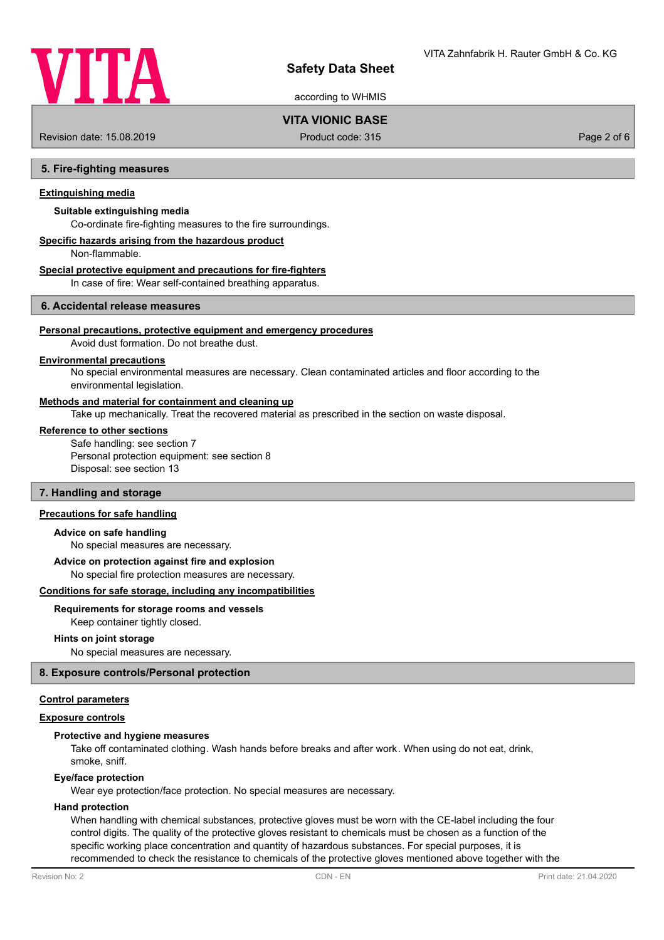

according to WHMIS

## **VITA VIONIC BASE**

Revision date: 15.08.2019 **Product code: 315** Product code: 315 **Page 2 of 6** Page 2 of 6

#### **5. Fire-fighting measures**

#### **Extinguishing media**

## **Suitable extinguishing media**

Co-ordinate fire-fighting measures to the fire surroundings.

## **Specific hazards arising from the hazardous product**

Non-flammable.

#### **Special protective equipment and precautions for fire-fighters**

In case of fire: Wear self-contained breathing apparatus.

## **6. Accidental release measures**

#### **Personal precautions, protective equipment and emergency procedures**

Avoid dust formation. Do not breathe dust.

## **Environmental precautions**

No special environmental measures are necessary. Clean contaminated articles and floor according to the environmental legislation.

#### **Methods and material for containment and cleaning up**

Take up mechanically. Treat the recovered material as prescribed in the section on waste disposal.

#### **Reference to other sections**

Safe handling: see section 7 Personal protection equipment: see section 8 Disposal: see section 13

#### **7. Handling and storage**

## **Precautions for safe handling**

#### **Advice on safe handling**

No special measures are necessary.

#### **Advice on protection against fire and explosion**

No special fire protection measures are necessary.

#### **Conditions for safe storage, including any incompatibilities**

#### **Requirements for storage rooms and vessels**

Keep container tightly closed.

#### **Hints on joint storage**

No special measures are necessary.

#### **8. Exposure controls/Personal protection**

#### **Control parameters**

### **Exposure controls**

#### **Protective and hygiene measures**

Take off contaminated clothing. Wash hands before breaks and after work. When using do not eat, drink, smoke, sniff.

#### **Eye/face protection**

Wear eye protection/face protection. No special measures are necessary.

#### **Hand protection**

When handling with chemical substances, protective gloves must be worn with the CE-label including the four control digits. The quality of the protective gloves resistant to chemicals must be chosen as a function of the specific working place concentration and quantity of hazardous substances. For special purposes, it is recommended to check the resistance to chemicals of the protective gloves mentioned above together with the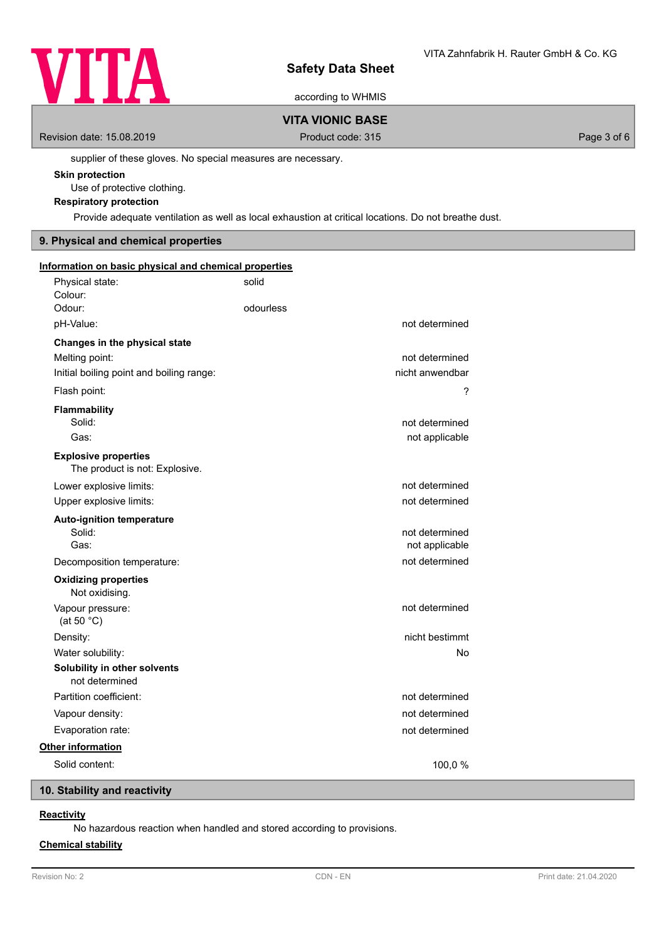

according to WHMIS

# **VITA VIONIC BASE**

Revision date: 15.08.2019 **Product code: 315** Product code: 315 **Page 3 of 6** Page 3 of 6

supplier of these gloves. No special measures are necessary.

#### **Skin protection**

Use of protective clothing.

## **Respiratory protection**

Provide adequate ventilation as well as local exhaustion at critical locations. Do not breathe dust.

## **9. Physical and chemical properties**

|                                                               | solid     |                 |  |  |
|---------------------------------------------------------------|-----------|-----------------|--|--|
| Physical state:                                               |           |                 |  |  |
| Colour:<br>Odour:                                             | odourless |                 |  |  |
|                                                               |           |                 |  |  |
| pH-Value:                                                     |           | not determined  |  |  |
| Changes in the physical state                                 |           |                 |  |  |
| Melting point:                                                |           | not determined  |  |  |
| Initial boiling point and boiling range:                      |           | nicht anwendbar |  |  |
| Flash point:                                                  |           | ?               |  |  |
| <b>Flammability</b>                                           |           |                 |  |  |
| Solid:                                                        |           | not determined  |  |  |
| Gas:                                                          |           | not applicable  |  |  |
| <b>Explosive properties</b><br>The product is not: Explosive. |           |                 |  |  |
| Lower explosive limits:                                       |           | not determined  |  |  |
| Upper explosive limits:                                       |           | not determined  |  |  |
| <b>Auto-ignition temperature</b>                              |           |                 |  |  |
| Solid:                                                        |           | not determined  |  |  |
| Gas:                                                          |           | not applicable  |  |  |
| Decomposition temperature:                                    |           | not determined  |  |  |
| <b>Oxidizing properties</b><br>Not oxidising.                 |           |                 |  |  |
| Vapour pressure:<br>(at 50 $^{\circ}$ C)                      |           | not determined  |  |  |
| Density:                                                      |           | nicht bestimmt  |  |  |
| Water solubility:                                             |           | No              |  |  |
| Solubility in other solvents<br>not determined                |           |                 |  |  |
| Partition coefficient:                                        |           | not determined  |  |  |
| Vapour density:                                               |           | not determined  |  |  |
| Evaporation rate:                                             |           | not determined  |  |  |
| Other information                                             |           |                 |  |  |
| Solid content:                                                |           | 100,0%          |  |  |

## **10. Stability and reactivity**

## **Reactivity**

No hazardous reaction when handled and stored according to provisions.

## **Chemical stability**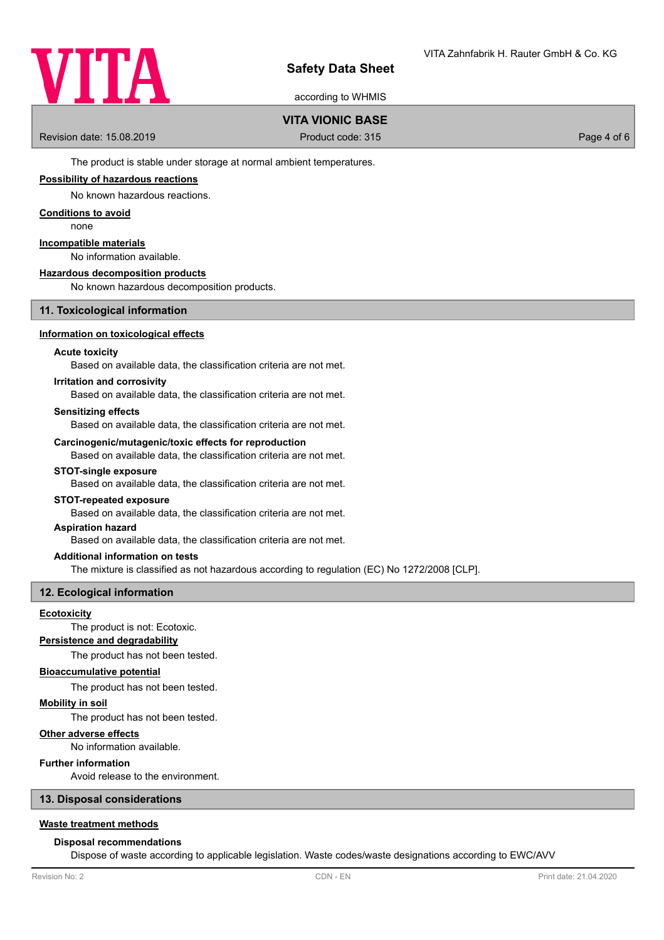

according to WHMIS

## **VITA VIONIC BASE**

Revision date: 15.08.2019 **Product code: 315** Product code: 315 **Page 4 of 6** 

The product is stable under storage at normal ambient temperatures.

### **Possibility of hazardous reactions**

No known hazardous reactions.

#### **Conditions to avoid**

none

## **Incompatible materials**

No information available.

### **Hazardous decomposition products**

No known hazardous decomposition products.

### **11. Toxicological information**

#### **Information on toxicological effects**

#### **Acute toxicity**

Based on available data, the classification criteria are not met.

#### **Irritation and corrosivity**

Based on available data, the classification criteria are not met.

#### **Sensitizing effects**

Based on available data, the classification criteria are not met.

#### **Carcinogenic/mutagenic/toxic effects for reproduction**

Based on available data, the classification criteria are not met.

#### **STOT-single exposure**

Based on available data, the classification criteria are not met.

#### **STOT-repeated exposure**

Based on available data, the classification criteria are not met.

#### **Aspiration hazard**

Based on available data, the classification criteria are not met.

#### **Additional information on tests**

The mixture is classified as not hazardous according to regulation (EC) No 1272/2008 [CLP].

#### **12. Ecological information**

#### **Ecotoxicity**

The product is not: Ecotoxic.

## **Persistence and degradability**

The product has not been tested.

#### **Bioaccumulative potential**

The product has not been tested.

### **Mobility in soil**

The product has not been tested.

#### **Other adverse effects**

No information available.

## **Further information**

Avoid release to the environment.

#### **13. Disposal considerations**

## **Waste treatment methods**

#### **Disposal recommendations**

Dispose of waste according to applicable legislation. Waste codes/waste designations according to EWC/AVV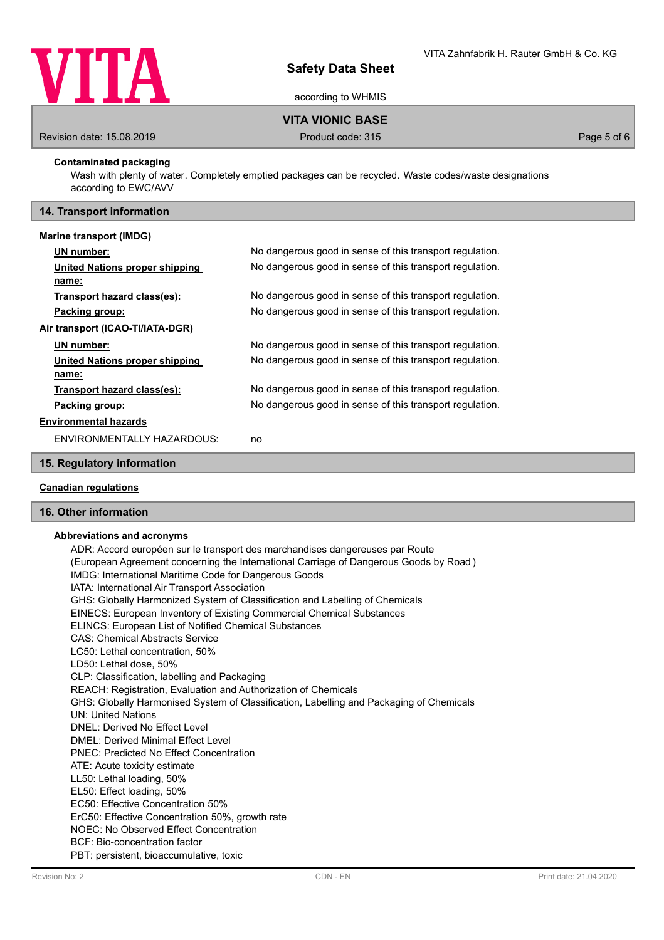

according to WHMIS

## **VITA VIONIC BASE**

Revision date: 15.08.2019 **Product code: 315** Product code: 315 **Page 5 of 6** Page 5 of 6

### **Contaminated packaging**

Wash with plenty of water. Completely emptied packages can be recycled. Waste codes/waste designations according to EWC/AVV

## **14. Transport information**

#### **Marine transport (IMDG)**

|                                  | UN number:                     | No dangerous good in sense of this transport regulation. |  |
|----------------------------------|--------------------------------|----------------------------------------------------------|--|
|                                  | United Nations proper shipping | No dangerous good in sense of this transport regulation. |  |
|                                  | name:                          |                                                          |  |
|                                  | Transport hazard class(es):    | No dangerous good in sense of this transport regulation. |  |
|                                  | Packing group:                 | No dangerous good in sense of this transport regulation. |  |
| Air transport (ICAO-TI/IATA-DGR) |                                |                                                          |  |
|                                  | <b>UN</b> number:              | No dangerous good in sense of this transport regulation. |  |
|                                  | United Nations proper shipping | No dangerous good in sense of this transport regulation. |  |
|                                  | name:                          |                                                          |  |
|                                  | Transport hazard class(es):    | No dangerous good in sense of this transport regulation. |  |
|                                  | Packing group:                 | No dangerous good in sense of this transport regulation. |  |
| <b>Environmental hazards</b>     |                                |                                                          |  |
|                                  | ENVIRONMENTALLY HAZARDOUS:     | no                                                       |  |

### **15. Regulatory information**

## **Canadian regulations**

## **16. Other information**

#### **Abbreviations and acronyms**

ADR: Accord européen sur le transport des marchandises dangereuses par Route (European Agreement concerning the International Carriage of Dangerous Goods by Road ) IMDG: International Maritime Code for Dangerous Goods IATA: International Air Transport Association GHS: Globally Harmonized System of Classification and Labelling of Chemicals EINECS: European Inventory of Existing Commercial Chemical Substances ELINCS: European List of Notified Chemical Substances CAS: Chemical Abstracts Service LC50: Lethal concentration, 50% LD50: Lethal dose, 50% CLP: Classification, labelling and Packaging REACH: Registration, Evaluation and Authorization of Chemicals GHS: Globally Harmonised System of Classification, Labelling and Packaging of Chemicals UN: United Nations DNEL: Derived No Effect Level DMEL: Derived Minimal Effect Level PNEC: Predicted No Effect Concentration ATE: Acute toxicity estimate LL50: Lethal loading, 50% EL50: Effect loading, 50% EC50: Effective Concentration 50% ErC50: Effective Concentration 50%, growth rate NOEC: No Observed Effect Concentration BCF: Bio-concentration factor PBT: persistent, bioaccumulative, toxic